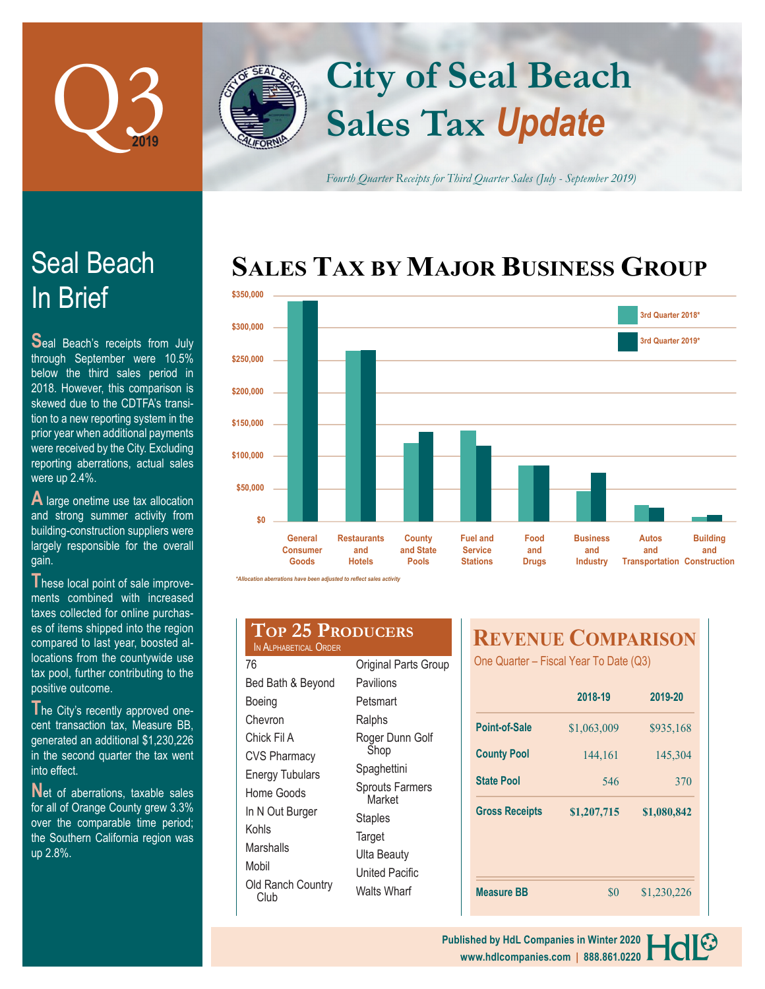

In Brief

were up 2.4%.

gain.

Seal Beach

**S**eal Beach's receipts from July through September were 10.5% below the third sales period in 2018. However, this comparison is skewed due to the CDTFA's transition to a new reporting system in the prior year when additional payments were received by the City. Excluding reporting aberrations, actual sales

**A** large onetime use tax allocation and strong summer activity from building-construction suppliers were largely responsible for the overall

## **Sales Tax** *Update* **City of Seal Beach**

*Fourth Quarter Receipts for Third Quarter Sales (July - September 2019)*

## **SALES TAX BY MAJOR BUSINESS GROUP**



*\*Allocation aberrations have been adjusted to reflect sales activity*

| hese local point of sale improve-     |
|---------------------------------------|
| ments combined with increased         |
| taxes collected for online purchas-   |
| es of items shipped into the region   |
| compared to last year, boosted al-    |
| locations from the countywide use     |
| tax pool, further contributing to the |
| positive outcome.                     |
|                                       |

The City's recently approved onecent transaction tax, Measure BB, generated an additional \$1,230,226 in the second quarter the tax went into effect.

**N**et of aberrations, taxable sales for all of Orange County grew 3.3% over the comparable time period; the Southern California region was up 2.8%.

| IN ALPHARETICAL ORDER | <b>TOP 25 PRODUCERS</b> |
|-----------------------|-------------------------|
| 76                    | Original Parts          |

| 76                                 | Original Parts Group             |
|------------------------------------|----------------------------------|
| Bed Bath & Beyond                  | Pavilions                        |
| Boeing                             | Petsmart                         |
| Chevron                            | Ralphs                           |
| Chick Fil A<br><b>CVS Pharmacy</b> | Roger Dunn Golf<br>Shop          |
| Energy Tubulars                    | Spaghettini                      |
| Home Goods                         | <b>Sprouts Farmers</b><br>Market |
| In N Out Burger                    | Staples                          |
| Kohls                              | Target                           |
| Marshalls                          | Ulta Beauty                      |
| Mobil                              | United Pacific                   |
| Old Ranch Country<br>Club          | Walts Wharf                      |

## **REVENUE COMPARISON**

One Quarter – Fiscal Year To Date (Q3)

|                       | 2018-19     | 2019-20     |
|-----------------------|-------------|-------------|
| Point-of-Sale         | \$1,063,009 | \$935,168   |
| <b>County Pool</b>    | 144,161     | 145,304     |
| <b>State Pool</b>     | 546         | 370         |
| <b>Gross Receipts</b> | \$1,207,715 | \$1,080,842 |
|                       |             |             |
| <b>Measure BB</b>     | \$0         | \$1,230,226 |